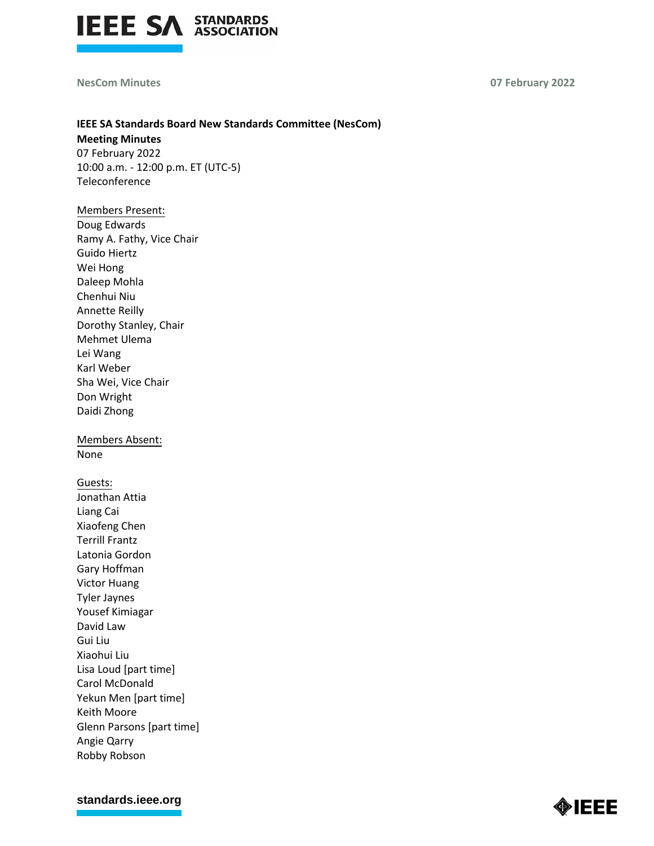

## **NesCom Minutes 07 February 2022**

# **IEEE SA Standards Board New Standards Committee (NesCom) Meeting Minutes**

07 February 2022 10:00 a.m. - 12:00 p.m. ET (UTC-5) Teleconference

# Members Present: Doug Edwards Ramy A. Fathy, Vice Chair Guido Hiertz Wei Hong Daleep Mohla Chenhui Niu Annette Reilly Dorothy Stanley, Chair Mehmet Ulema Lei Wang Karl Weber Sha Wei, Vice Chair Don Wright Daidi Zhong

Members Absent: None

Guests: Jonathan Attia Liang Cai Xiaofeng Chen Terrill Frantz Latonia Gordon Gary Hoffman Victor Huang Tyler Jaynes Yousef Kimiagar David Law Gui Liu Xiaohui Liu Lisa Loud [part time] Carol McDonald Yekun Men [part time] Keith Moore Glenn Parsons [part time] Angie Qarry Robby Robson

**[standards.ieee.org](http://standards.ieee.org/)**

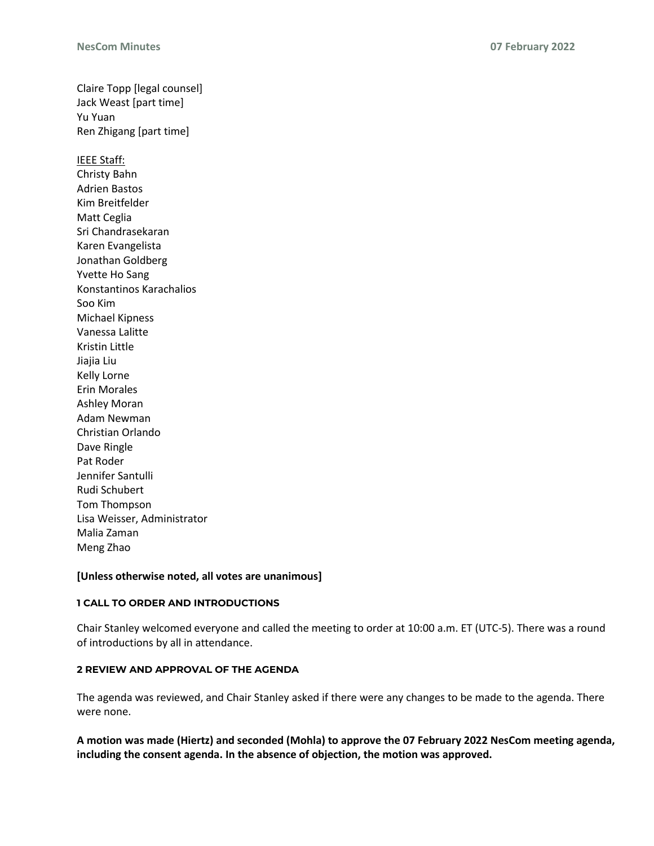Claire Topp [legal counsel] Jack Weast [part time] Yu Yuan Ren Zhigang [part time] IEEE Staff: Christy Bahn Adrien Bastos Kim Breitfelder Matt Ceglia Sri Chandrasekaran Karen Evangelista Jonathan Goldberg Yvette Ho Sang Konstantinos Karachalios Soo Kim Michael Kipness Vanessa Lalitte Kristin Little Jiajia Liu Kelly Lorne Erin Morales Ashley Moran Adam Newman Christian Orlando Dave Ringle Pat Roder Jennifer Santulli Rudi Schubert Tom Thompson Lisa Weisser, Administrator Malia Zaman Meng Zhao

# **[Unless otherwise noted, all votes are unanimous]**

## **1 CALL TO ORDER AND INTRODUCTIONS**

Chair Stanley welcomed everyone and called the meeting to order at 10:00 a.m. ET (UTC-5). There was a round of introductions by all in attendance.

# **2 REVIEW AND APPROVAL OF THE AGENDA**

The agenda was reviewed, and Chair Stanley asked if there were any changes to be made to the agenda. There were none.

**A motion was made (Hiertz) and seconded (Mohla) to approve the 07 February 2022 NesCom meeting agenda, including the consent agenda. In the absence of objection, the motion was approved.**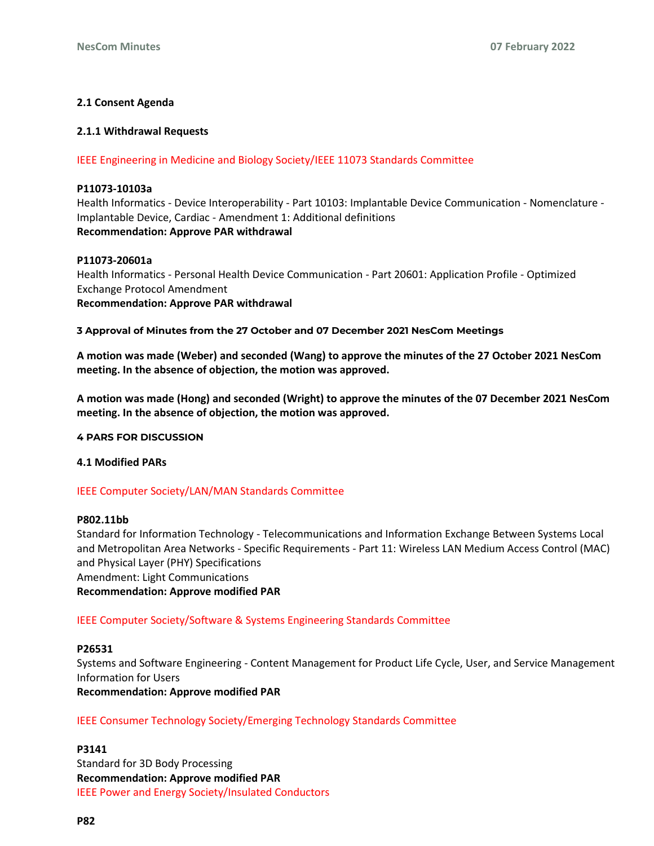# **2.1 Consent Agenda**

## **2.1.1 Withdrawal Requests**

IEEE Engineering in Medicine and Biology Society/IEEE 11073 Standards Committee

#### **P11073-10103a**

Health Informatics - Device Interoperability - Part 10103: Implantable Device Communication - Nomenclature - Implantable Device, Cardiac - Amendment 1: Additional definitions **Recommendation: Approve PAR withdrawal**

#### **P11073-20601a**

Health Informatics - Personal Health Device Communication - Part 20601: Application Profile - Optimized Exchange Protocol Amendment **Recommendation: Approve PAR withdrawal**

#### **3 Approval of Minutes from the 27 October and 07 December 2021 NesCom Meetings**

**A motion was made (Weber) and seconded (Wang) to approve the minutes of the 27 October 2021 NesCom meeting. In the absence of objection, the motion was approved.**

**A motion was made (Hong) and seconded (Wright) to approve the minutes of the 07 December 2021 NesCom meeting. In the absence of objection, the motion was approved.**

**4 PARS FOR DISCUSSION**

#### **4.1 Modified PARs**

## IEEE Computer Society/LAN/MAN Standards Committee

### **P802.11bb**

Standard for Information Technology - Telecommunications and Information Exchange Between Systems Local and Metropolitan Area Networks - Specific Requirements - Part 11: Wireless LAN Medium Access Control (MAC) and Physical Layer (PHY) Specifications

Amendment: Light Communications

#### **Recommendation: Approve modified PAR**

## IEEE Computer Society/Software & Systems Engineering Standards Committee

## **P26531**

Systems and Software Engineering - Content Management for Product Life Cycle, User, and Service Management Information for Users

**Recommendation: Approve modified PAR**

## IEEE Consumer Technology Society/Emerging Technology Standards Committee

#### **P3141**

Standard for 3D Body Processing **Recommendation: Approve modified PAR** IEEE Power and Energy Society/Insulated Conductors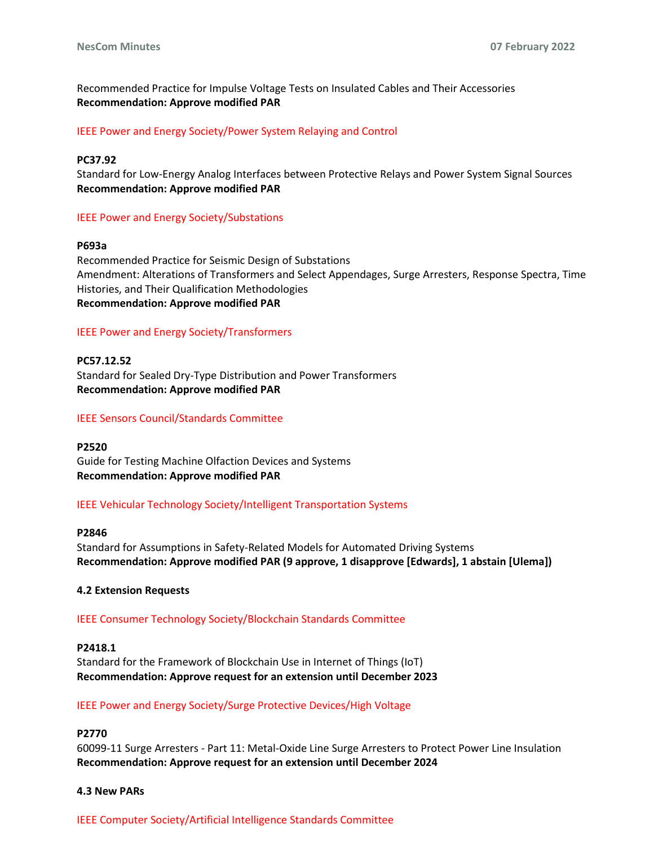Recommended Practice for Impulse Voltage Tests on Insulated Cables and Their Accessories **Recommendation: Approve modified PAR**

#### IEEE Power and Energy Society/Power System Relaying and Control

#### **PC37.92**

Standard for Low-Energy Analog Interfaces between Protective Relays and Power System Signal Sources **Recommendation: Approve modified PAR**

#### IEEE Power and Energy Society/Substations

#### **P693a**

Recommended Practice for Seismic Design of Substations Amendment: Alterations of Transformers and Select Appendages, Surge Arresters, Response Spectra, Time Histories, and Their Qualification Methodologies **Recommendation: Approve modified PAR**

## IEEE Power and Energy Society/Transformers

**PC57.12.52** Standard for Sealed Dry-Type Distribution and Power Transformers **Recommendation: Approve modified PAR**

#### IEEE Sensors Council/Standards Committee

#### **P2520**

Guide for Testing Machine Olfaction Devices and Systems **Recommendation: Approve modified PAR**

#### IEEE Vehicular Technology Society/Intelligent Transportation Systems

### **P2846**

Standard for Assumptions in Safety-Related Models for Automated Driving Systems **Recommendation: Approve modified PAR (9 approve, 1 disapprove [Edwards], 1 abstain [Ulema])**

#### **4.2 Extension Requests**

#### IEEE Consumer Technology Society/Blockchain Standards Committee

## **P2418.1**

Standard for the Framework of Blockchain Use in Internet of Things (IoT) **Recommendation: Approve request for an extension until December 2023**

#### IEEE Power and Energy Society/Surge Protective Devices/High Voltage

# **P2770**

60099-11 Surge Arresters - Part 11: Metal-Oxide Line Surge Arresters to Protect Power Line Insulation **Recommendation: Approve request for an extension until December 2024**

#### **4.3 New PARs**

IEEE Computer Society/Artificial Intelligence Standards Committee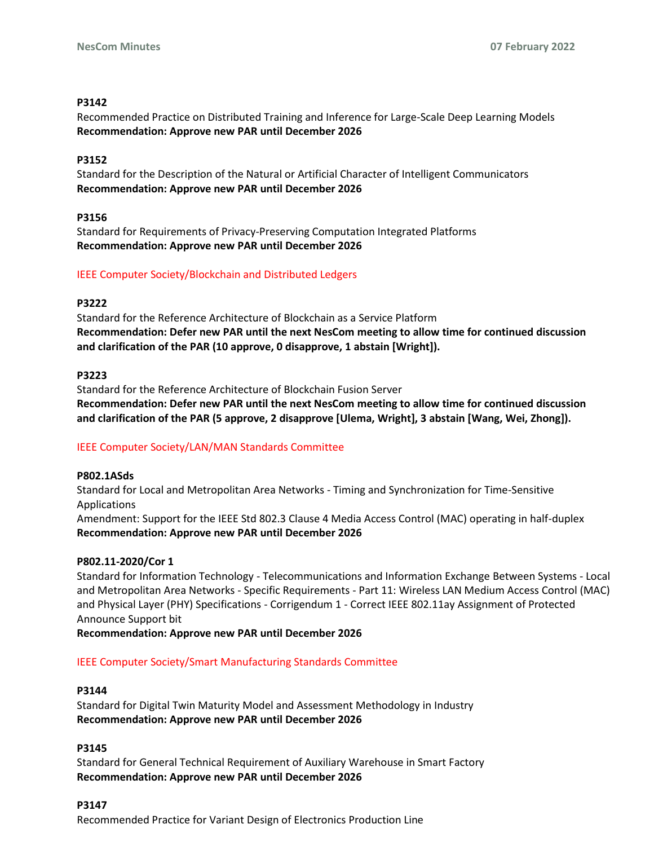# **P3142**

Recommended Practice on Distributed Training and Inference for Large-Scale Deep Learning Models **Recommendation: Approve new PAR until December 2026**

# **P3152**

Standard for the Description of the Natural or Artificial Character of Intelligent Communicators **Recommendation: Approve new PAR until December 2026**

# **P3156**

Standard for Requirements of Privacy-Preserving Computation Integrated Platforms **Recommendation: Approve new PAR until December 2026**

# IEEE Computer Society/Blockchain and Distributed Ledgers

## **P3222**

Standard for the Reference Architecture of Blockchain as a Service Platform **Recommendation: Defer new PAR until the next NesCom meeting to allow time for continued discussion and clarification of the PAR (10 approve, 0 disapprove, 1 abstain [Wright]).**

# **P3223**

Standard for the Reference Architecture of Blockchain Fusion Server **Recommendation: Defer new PAR until the next NesCom meeting to allow time for continued discussion and clarification of the PAR (5 approve, 2 disapprove [Ulema, Wright], 3 abstain [Wang, Wei, Zhong]).**

# IEEE Computer Society/LAN/MAN Standards Committee

## **P802.1ASds**

Standard for Local and Metropolitan Area Networks - Timing and Synchronization for Time-Sensitive Applications

Amendment: Support for the IEEE Std 802.3 Clause 4 Media Access Control (MAC) operating in half-duplex **Recommendation: Approve new PAR until December 2026**

## **P802.11-2020/Cor 1**

Standard for Information Technology - Telecommunications and Information Exchange Between Systems - Local and Metropolitan Area Networks - Specific Requirements - Part 11: Wireless LAN Medium Access Control (MAC) and Physical Layer (PHY) Specifications - Corrigendum 1 - Correct IEEE 802.11ay Assignment of Protected Announce Support bit

**Recommendation: Approve new PAR until December 2026**

# IEEE Computer Society/Smart Manufacturing Standards Committee

## **P3144**

Standard for Digital Twin Maturity Model and Assessment Methodology in Industry **Recommendation: Approve new PAR until December 2026**

# **P3145**

Standard for General Technical Requirement of Auxiliary Warehouse in Smart Factory **Recommendation: Approve new PAR until December 2026**

## **P3147**

Recommended Practice for Variant Design of Electronics Production Line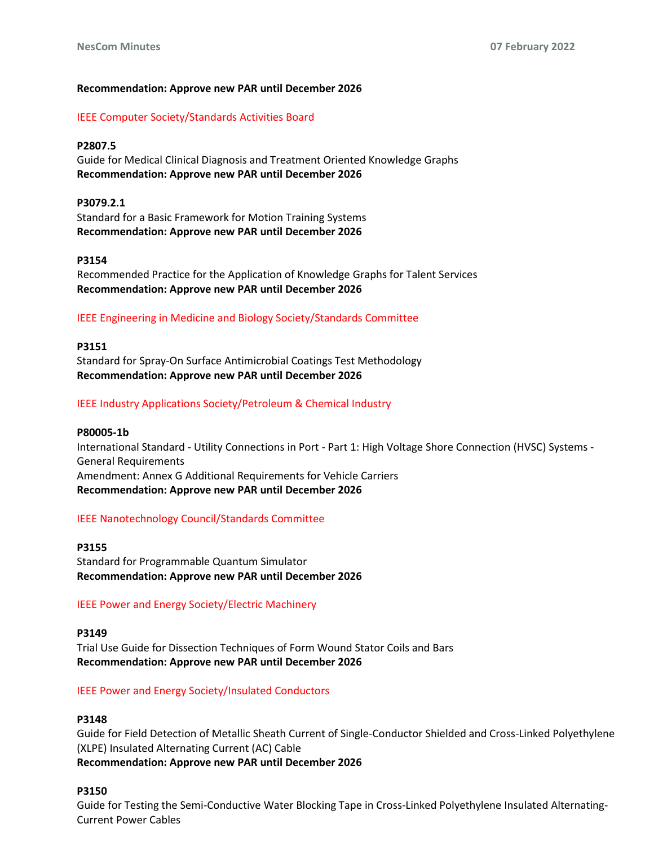## **Recommendation: Approve new PAR until December 2026**

## IEEE Computer Society/Standards Activities Board

## **P2807.5**

Guide for Medical Clinical Diagnosis and Treatment Oriented Knowledge Graphs **Recommendation: Approve new PAR until December 2026**

**P3079.2.1** Standard for a Basic Framework for Motion Training Systems **Recommendation: Approve new PAR until December 2026**

## **P3154**

Recommended Practice for the Application of Knowledge Graphs for Talent Services **Recommendation: Approve new PAR until December 2026**

## IEEE Engineering in Medicine and Biology Society/Standards Committee

#### **P3151**

Standard for Spray-On Surface Antimicrobial Coatings Test Methodology **Recommendation: Approve new PAR until December 2026**

## IEEE Industry Applications Society/Petroleum & Chemical Industry

**P80005-1b** International Standard - Utility Connections in Port - Part 1: High Voltage Shore Connection (HVSC) Systems - General Requirements Amendment: Annex G Additional Requirements for Vehicle Carriers **Recommendation: Approve new PAR until December 2026**

## IEEE Nanotechnology Council/Standards Committee

**P3155** Standard for Programmable Quantum Simulator **Recommendation: Approve new PAR until December 2026**

## IEEE Power and Energy Society/Electric Machinery

**P3149**

Trial Use Guide for Dissection Techniques of Form Wound Stator Coils and Bars **Recommendation: Approve new PAR until December 2026**

## IEEE Power and Energy Society/Insulated Conductors

## **P3148**

Guide for Field Detection of Metallic Sheath Current of Single-Conductor Shielded and Cross-Linked Polyethylene (XLPE) Insulated Alternating Current (AC) Cable **Recommendation: Approve new PAR until December 2026**

## **P3150**

Guide for Testing the Semi-Conductive Water Blocking Tape in Cross-Linked Polyethylene Insulated Alternating-Current Power Cables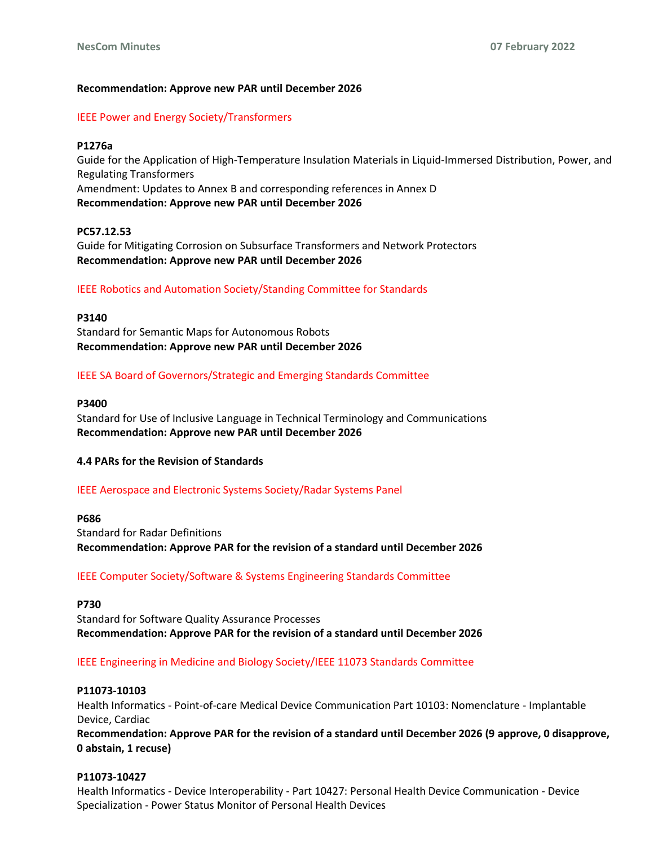## **Recommendation: Approve new PAR until December 2026**

# IEEE Power and Energy Society/Transformers

## **P1276a**

Guide for the Application of High-Temperature Insulation Materials in Liquid-Immersed Distribution, Power, and Regulating Transformers Amendment: Updates to Annex B and corresponding references in Annex D **Recommendation: Approve new PAR until December 2026**

# **PC57.12.53**

Guide for Mitigating Corrosion on Subsurface Transformers and Network Protectors **Recommendation: Approve new PAR until December 2026**

# IEEE Robotics and Automation Society/Standing Committee for Standards

## **P3140**

Standard for Semantic Maps for Autonomous Robots **Recommendation: Approve new PAR until December 2026**

# IEEE SA Board of Governors/Strategic and Emerging Standards Committee

## **P3400**

Standard for Use of Inclusive Language in Technical Terminology and Communications **Recommendation: Approve new PAR until December 2026**

## **4.4 PARs for the Revision of Standards**

## IEEE Aerospace and Electronic Systems Society/Radar Systems Panel

## **P686**

Standard for Radar Definitions **Recommendation: Approve PAR for the revision of a standard until December 2026**

# IEEE Computer Society/Software & Systems Engineering Standards Committee

**P730** Standard for Software Quality Assurance Processes **Recommendation: Approve PAR for the revision of a standard until December 2026**

## IEEE Engineering in Medicine and Biology Society/IEEE 11073 Standards Committee

## **P11073-10103**

Health Informatics - Point-of-care Medical Device Communication Part 10103: Nomenclature - Implantable Device, Cardiac

**Recommendation: Approve PAR for the revision of a standard until December 2026 (9 approve, 0 disapprove, 0 abstain, 1 recuse)**

## **P11073-10427**

Health Informatics - Device Interoperability - Part 10427: Personal Health Device Communication - Device Specialization - Power Status Monitor of Personal Health Devices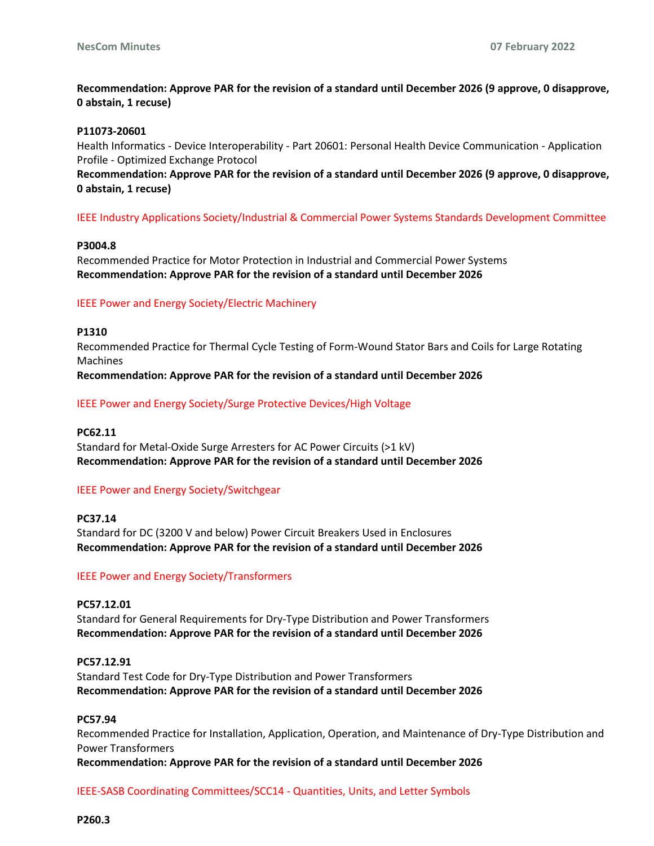# **Recommendation: Approve PAR for the revision of a standard until December 2026 (9 approve, 0 disapprove, 0 abstain, 1 recuse)**

#### **P11073-20601**

Health Informatics - Device Interoperability - Part 20601: Personal Health Device Communication - Application Profile - Optimized Exchange Protocol

**Recommendation: Approve PAR for the revision of a standard until December 2026 (9 approve, 0 disapprove, 0 abstain, 1 recuse)**

## IEEE Industry Applications Society/Industrial & Commercial Power Systems Standards Development Committee

## **P3004.8**

Recommended Practice for Motor Protection in Industrial and Commercial Power Systems **Recommendation: Approve PAR for the revision of a standard until December 2026**

#### IEEE Power and Energy Society/Electric Machinery

#### **P1310**

Recommended Practice for Thermal Cycle Testing of Form-Wound Stator Bars and Coils for Large Rotating **Machines Recommendation: Approve PAR for the revision of a standard until December 2026**

IEEE Power and Energy Society/Surge Protective Devices/High Voltage

# **PC62.11**

Standard for Metal-Oxide Surge Arresters for AC Power Circuits (>1 kV) **Recommendation: Approve PAR for the revision of a standard until December 2026**

## IEEE Power and Energy Society/Switchgear

**PC37.14** Standard for DC (3200 V and below) Power Circuit Breakers Used in Enclosures **Recommendation: Approve PAR for the revision of a standard until December 2026**

## IEEE Power and Energy Society/Transformers

**PC57.12.01** Standard for General Requirements for Dry-Type Distribution and Power Transformers **Recommendation: Approve PAR for the revision of a standard until December 2026**

**PC57.12.91** Standard Test Code for Dry-Type Distribution and Power Transformers **Recommendation: Approve PAR for the revision of a standard until December 2026**

#### **PC57.94**

Recommended Practice for Installation, Application, Operation, and Maintenance of Dry-Type Distribution and Power Transformers **Recommendation: Approve PAR for the revision of a standard until December 2026**

IEEE-SASB Coordinating Committees/SCC14 - Quantities, Units, and Letter Symbols